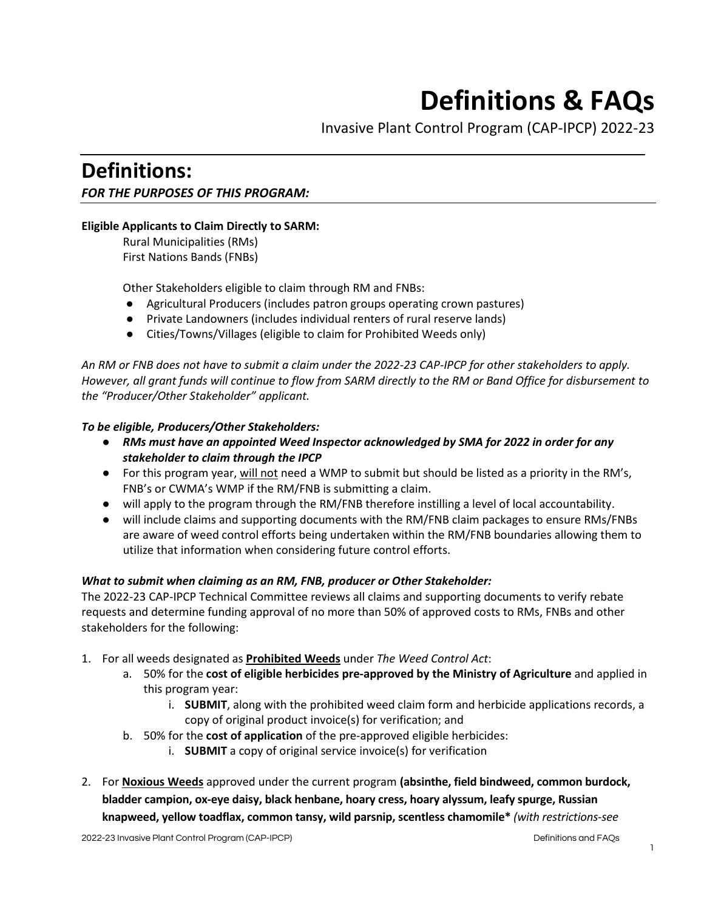# **Definitions & FAQs**

Invasive Plant Control Program (CAP-IPCP) 2022-23

# **Definitions:**  *FOR THE PURPOSES OF THIS PROGRAM:*

# **Eligible Applicants to Claim Directly to SARM:**

Rural Municipalities (RMs) First Nations Bands (FNBs)

Other Stakeholders eligible to claim through RM and FNBs:

- Agricultural Producers (includes patron groups operating crown pastures)
- Private Landowners (includes individual renters of rural reserve lands)
- Cities/Towns/Villages (eligible to claim for Prohibited Weeds only)

*An RM or FNB does not have to submit a claim under the 2022-23 CAP-IPCP for other stakeholders to apply. However, all grant funds will continue to flow from SARM directly to the RM or Band Office for disbursement to the "Producer/Other Stakeholder" applicant.* 

#### *To be eligible, Producers/Other Stakeholders:*

- *RMs must have an appointed Weed Inspector acknowledged by SMA for 2022 in order for any stakeholder to claim through the IPCP*
- For this program year, will not need a WMP to submit but should be listed as a priority in the RM's, FNB's or CWMA's WMP if the RM/FNB is submitting a claim.
- will apply to the program through the RM/FNB therefore instilling a level of local accountability.
- will include claims and supporting documents with the RM/FNB claim packages to ensure RMs/FNBs are aware of weed control efforts being undertaken within the RM/FNB boundaries allowing them to utilize that information when considering future control efforts.

#### *What to submit when claiming as an RM, FNB, producer or Other Stakeholder:*

The 2022-23 CAP-IPCP Technical Committee reviews all claims and supporting documents to verify rebate requests and determine funding approval of no more than 50% of approved costs to RMs, FNBs and other stakeholders for the following:

- 1. For all weeds designated as **Prohibited Weeds** under *The Weed Control Act*:
	- a. 50% for the **cost of eligible herbicides pre-approved by the Ministry of Agriculture** and applied in this program year:
		- i. **SUBMIT**, along with the prohibited weed claim form and herbicide applications records, a copy of original product invoice(s) for verification; and
	- b. 50% for the **cost of application** of the pre-approved eligible herbicides:
		- i. **SUBMIT** a copy of original service invoice(s) for verification
- 2. For **Noxious Weeds** approved under the current program **(absinthe, field bindweed, common burdock, bladder campion, ox-eye daisy, black henbane, hoary cress, hoary alyssum, leafy spurge, Russian knapweed, yellow toadflax, common tansy, wild parsnip, scentless chamomile\*** *(with restrictions-see*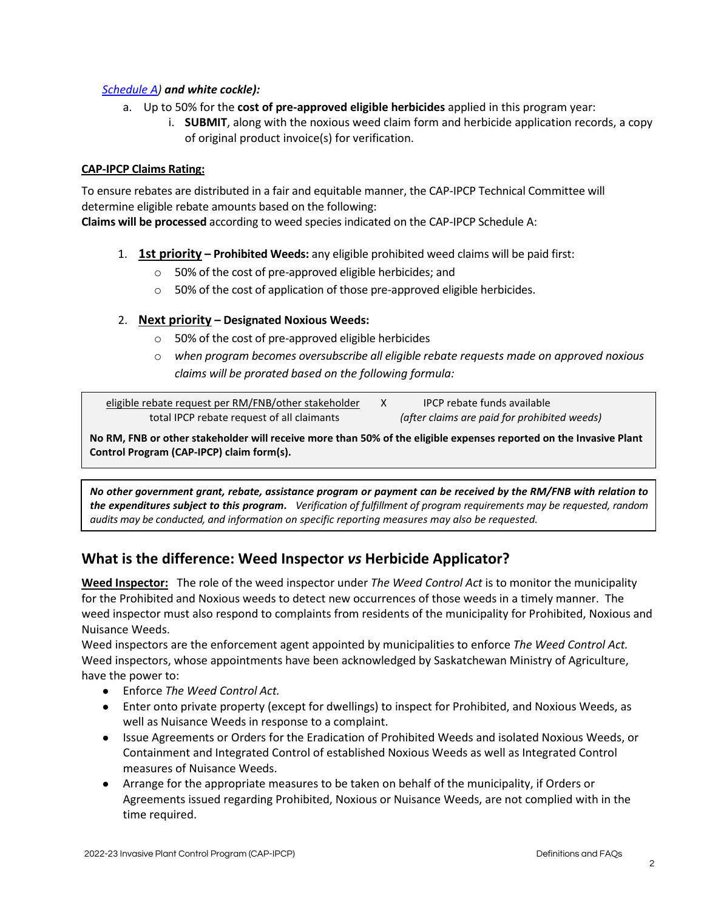# *[Schedule A\)](https://sarm.ca/wp-content/uploads/2022/04/CAP-IPCP-Schedule-A-2022-23-FINAL-1.pdf) and white cockle):*

- a. Up to 50% for the **cost of pre-approved eligible herbicides** applied in this program year:
	- i. **SUBMIT**, along with the noxious weed claim form and herbicide application records, a copy of original product invoice(s) for verification.

#### **CAP-IPCP Claims Rating:**

To ensure rebates are distributed in a fair and equitable manner, the CAP-IPCP Technical Committee will determine eligible rebate amounts based on the following:

**Claims will be processed** according to weed species indicated on the CAP-IPCP Schedule A:

- 1. **1st priority Prohibited Weeds:** any eligible prohibited weed claims will be paid first:
	- o 50% of the cost of pre-approved eligible herbicides; and
	- o 50% of the cost of application of those pre-approved eligible herbicides.

# 2. **Next priority – Designated Noxious Weeds:**

- o 50% of the cost of pre-approved eligible herbicides
- o *when program becomes oversubscribe all eligible rebate requests made on approved noxious claims will be prorated based on the following formula:*

| eligible rebate request per RM/FNB/other stakeholder | IPCP rebate funds available                  |
|------------------------------------------------------|----------------------------------------------|
| total IPCP rebate request of all claimants           | (after claims are paid for prohibited weeds) |

**No RM, FNB or other stakeholder will receive more than 50% of the eligible expenses reported on the Invasive Plant Control Program (CAP-IPCP) claim form(s).**

*No other government grant, rebate, assistance program or payment can be received by the RM/FNB with relation to the expenditures subject to this program. Verification of fulfillment of program requirements may be requested, random audits may be conducted, and information on specific reporting measures may also be requested.*

# **What is the difference: Weed Inspector** *vs* **Herbicide Applicator?**

**Weed Inspector:** The role of the weed inspector under *The Weed Control Act* is to monitor the municipality for the Prohibited and Noxious weeds to detect new occurrences of those weeds in a timely manner. The weed inspector must also respond to complaints from residents of the municipality for Prohibited, Noxious and Nuisance Weeds.

Weed inspectors are the enforcement agent appointed by municipalities to enforce *The Weed Control Act.* Weed inspectors, whose appointments have been acknowledged by Saskatchewan Ministry of Agriculture, have the power to:

- Enforce *The Weed Control Act.*
- Enter onto private property (except for dwellings) to inspect for Prohibited, and Noxious Weeds, as well as Nuisance Weeds in response to a complaint.
- Issue Agreements or Orders for the Eradication of Prohibited Weeds and isolated Noxious Weeds, or Containment and Integrated Control of established Noxious Weeds as well as Integrated Control measures of Nuisance Weeds.
- Arrange for the appropriate measures to be taken on behalf of the municipality, if Orders or Agreements issued regarding Prohibited, Noxious or Nuisance Weeds, are not complied with in the time required.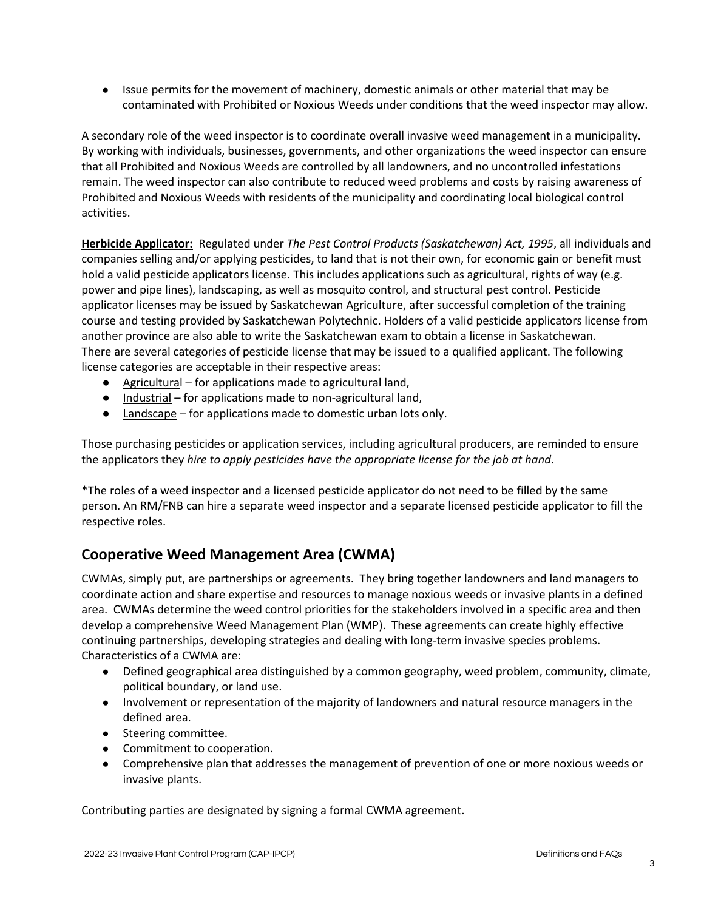● Issue permits for the movement of machinery, domestic animals or other material that may be contaminated with Prohibited or Noxious Weeds under conditions that the weed inspector may allow.

A secondary role of the weed inspector is to coordinate overall invasive weed management in a municipality. By working with individuals, businesses, governments, and other organizations the weed inspector can ensure that all Prohibited and Noxious Weeds are controlled by all landowners, and no uncontrolled infestations remain. The weed inspector can also contribute to reduced weed problems and costs by raising awareness of Prohibited and Noxious Weeds with residents of the municipality and coordinating local biological control activities.

**Herbicide Applicator:** Regulated under *The Pest Control Products (Saskatchewan) Act, 1995*, all individuals and companies selling and/or applying pesticides, to land that is not their own, for economic gain or benefit must hold a valid pesticide applicators license. This includes applications such as agricultural, rights of way (e.g. power and pipe lines), landscaping, as well as mosquito control, and structural pest control. Pesticide applicator licenses may be issued by Saskatchewan Agriculture, after successful completion of the training course and testing provided by Saskatchewan Polytechnic. Holders of a valid pesticide applicators license from another province are also able to write the Saskatchewan exam to obtain a license in Saskatchewan. There are several categories of pesticide license that may be issued to a qualified applicant. The following license categories are acceptable in their respective areas:

- Agricultural for applications made to agricultural land,
- Industrial for applications made to non-agricultural land,
- Landscape for applications made to domestic urban lots only.

Those purchasing pesticides or application services, including agricultural producers, are reminded to ensure the applicators they *hire to apply pesticides have the appropriate license for the job at hand*.

\*The roles of a weed inspector and a licensed pesticide applicator do not need to be filled by the same person. An RM/FNB can hire a separate weed inspector and a separate licensed pesticide applicator to fill the respective roles.

# **Cooperative Weed Management Area (CWMA)**

CWMAs, simply put, are partnerships or agreements. They bring together landowners and land managers to coordinate action and share expertise and resources to manage noxious weeds or invasive plants in a defined area. CWMAs determine the weed control priorities for the stakeholders involved in a specific area and then develop a comprehensive Weed Management Plan (WMP). These agreements can create highly effective continuing partnerships, developing strategies and dealing with long-term invasive species problems. Characteristics of a CWMA are:

- Defined geographical area distinguished by a common geography, weed problem, community, climate, political boundary, or land use.
- Involvement or representation of the majority of landowners and natural resource managers in the defined area.
- Steering committee.
- Commitment to cooperation.
- Comprehensive plan that addresses the management of prevention of one or more noxious weeds or invasive plants.

Contributing parties are designated by signing a formal CWMA agreement.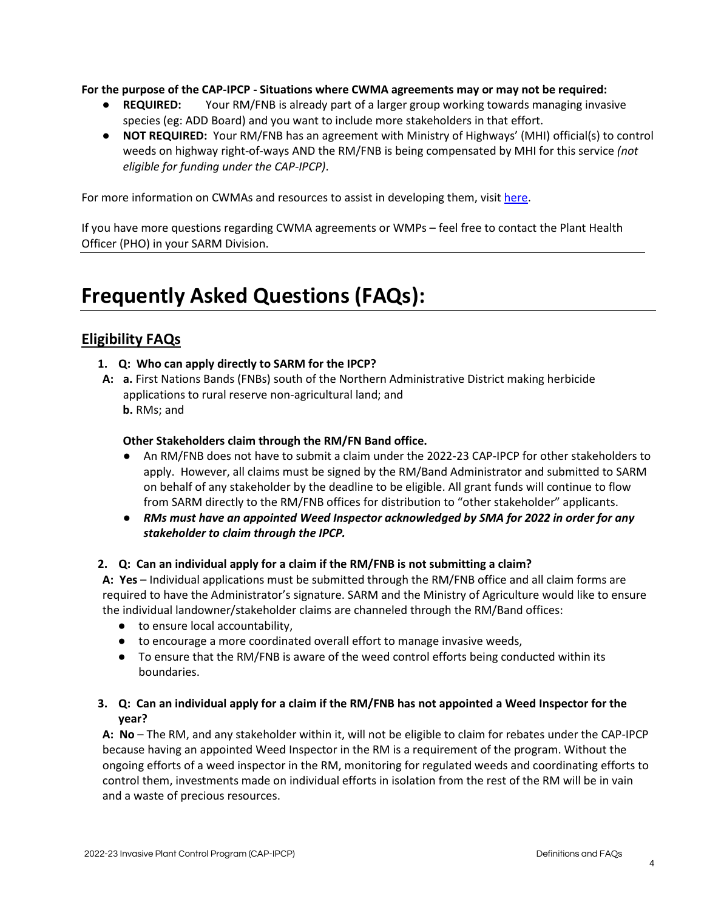**For the purpose of the CAP-IPCP - Situations where CWMA agreements may or may not be required:**

- **REQUIRED:** Your RM/FNB is already part of a larger group working towards managing invasive species (eg: ADD Board) and you want to include more stakeholders in that effort.
- **NOT REQUIRED:** Your RM/FNB has an agreement with Ministry of Highways' (MHI) official(s) to control weeds on highway right-of-ways AND the RM/FNB is being compensated by MHI for this service *(not eligible for funding under the CAP-IPCP)*.

For more information on CWMAs and resources to assist in developing them, visi[t here.](http://mipn.org/cwma_resources.html)

If you have more questions regarding CWMA agreements or WMPs – feel free to contact the Plant Health Officer (PHO) in your SARM Division.

# **Frequently Asked Questions (FAQs):**

# **Eligibility FAQs**

- **1. Q: Who can apply directly to SARM for the IPCP?**
- **A: a.** First Nations Bands (FNBs) south of the Northern Administrative District making herbicide applications to rural reserve non-agricultural land; and **b.** RMs; and

# **Other Stakeholders claim through the RM/FN Band office.**

- An RM/FNB does not have to submit a claim under the 2022-23 CAP-IPCP for other stakeholders to apply. However, all claims must be signed by the RM/Band Administrator and submitted to SARM on behalf of any stakeholder by the deadline to be eligible. All grant funds will continue to flow from SARM directly to the RM/FNB offices for distribution to "other stakeholder" applicants.
- *RMs must have an appointed Weed Inspector acknowledged by SMA for 2022 in order for any stakeholder to claim through the IPCP.*

# **2. Q: Can an individual apply for a claim if the RM/FNB is not submitting a claim?**

**A: Yes** – Individual applications must be submitted through the RM/FNB office and all claim forms are required to have the Administrator's signature. SARM and the Ministry of Agriculture would like to ensure the individual landowner/stakeholder claims are channeled through the RM/Band offices:

- to ensure local accountability,
- to encourage a more coordinated overall effort to manage invasive weeds,
- To ensure that the RM/FNB is aware of the weed control efforts being conducted within its boundaries.

# **3. Q: Can an individual apply for a claim if the RM/FNB has not appointed a Weed Inspector for the year?**

**A: No** – The RM, and any stakeholder within it, will not be eligible to claim for rebates under the CAP-IPCP because having an appointed Weed Inspector in the RM is a requirement of the program. Without the ongoing efforts of a weed inspector in the RM, monitoring for regulated weeds and coordinating efforts to control them, investments made on individual efforts in isolation from the rest of the RM will be in vain and a waste of precious resources.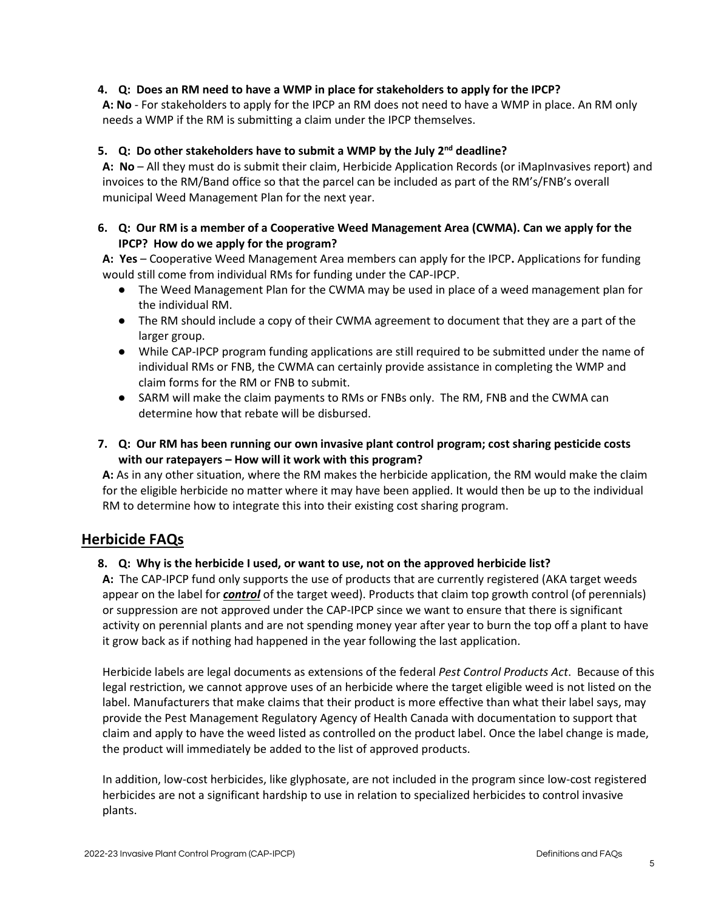# **4. Q: Does an RM need to have a WMP in place for stakeholders to apply for the IPCP?**

**A: No** - For stakeholders to apply for the IPCP an RM does not need to have a WMP in place. An RM only needs a WMP if the RM is submitting a claim under the IPCP themselves.

## **5. Q: Do other stakeholders have to submit a WMP by the July 2nd deadline?**

**A: No** – All they must do is submit their claim, Herbicide Application Records (or iMapInvasives report) and invoices to the RM/Band office so that the parcel can be included as part of the RM's/FNB's overall municipal Weed Management Plan for the next year.

#### **6. Q: Our RM is a member of a Cooperative Weed Management Area (CWMA). Can we apply for the IPCP? How do we apply for the program?**

**A: Yes** – Cooperative Weed Management Area members can apply for the IPCP**.** Applications for funding would still come from individual RMs for funding under the CAP-IPCP.

- The Weed Management Plan for the CWMA may be used in place of a weed management plan for the individual RM.
- The RM should include a copy of their CWMA agreement to document that they are a part of the larger group.
- While CAP-IPCP program funding applications are still required to be submitted under the name of individual RMs or FNB, the CWMA can certainly provide assistance in completing the WMP and claim forms for the RM or FNB to submit.
- SARM will make the claim payments to RMs or FNBs only. The RM, FNB and the CWMA can determine how that rebate will be disbursed.
- **7. Q: Our RM has been running our own invasive plant control program; cost sharing pesticide costs with our ratepayers – How will it work with this program?**

**A:** As in any other situation, where the RM makes the herbicide application, the RM would make the claim for the eligible herbicide no matter where it may have been applied. It would then be up to the individual RM to determine how to integrate this into their existing cost sharing program.

# **Herbicide FAQs**

#### **8. Q: Why is the herbicide I used, or want to use, not on the approved herbicide list?**

**A:** The CAP-IPCP fund only supports the use of products that are currently registered (AKA target weeds appear on the label for *control* of the target weed). Products that claim top growth control (of perennials) or suppression are not approved under the CAP-IPCP since we want to ensure that there is significant activity on perennial plants and are not spending money year after year to burn the top off a plant to have it grow back as if nothing had happened in the year following the last application.

Herbicide labels are legal documents as extensions of the federal *Pest Control Products Act*. Because of this legal restriction, we cannot approve uses of an herbicide where the target eligible weed is not listed on the label. Manufacturers that make claims that their product is more effective than what their label says, may provide the Pest Management Regulatory Agency of Health Canada with documentation to support that claim and apply to have the weed listed as controlled on the product label. Once the label change is made, the product will immediately be added to the list of approved products.

In addition, low-cost herbicides, like glyphosate, are not included in the program since low-cost registered herbicides are not a significant hardship to use in relation to specialized herbicides to control invasive plants.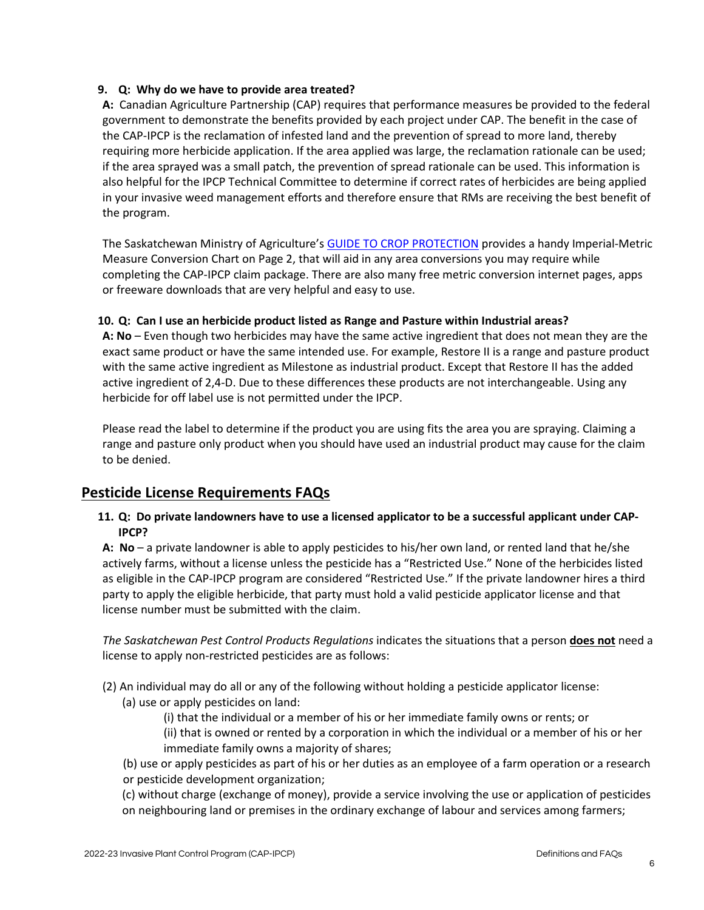## **9. Q: Why do we have to provide area treated?**

**A:** Canadian Agriculture Partnership (CAP) requires that performance measures be provided to the federal government to demonstrate the benefits provided by each project under CAP. The benefit in the case of the CAP-IPCP is the reclamation of infested land and the prevention of spread to more land, thereby requiring more herbicide application. If the area applied was large, the reclamation rationale can be used; if the area sprayed was a small patch, the prevention of spread rationale can be used. This information is also helpful for the IPCP Technical Committee to determine if correct rates of herbicides are being applied in your invasive weed management efforts and therefore ensure that RMs are receiving the best benefit of the program.

The Saskatchewan Ministry of Agriculture's [GUIDE TO CROP PROTECTION](https://publications.saskatchewan.ca/#/products/77706) provides a handy Imperial-Metric Measure Conversion Chart on Page 2, that will aid in any area conversions you may require while completing the CAP-IPCP claim package. There are also many free metric conversion internet pages, apps or freeware downloads that are very helpful and easy to use.

#### **10. Q: Can I use an herbicide product listed as Range and Pasture within Industrial areas?**

**A: No** – Even though two herbicides may have the same active ingredient that does not mean they are the exact same product or have the same intended use. For example, Restore II is a range and pasture product with the same active ingredient as Milestone as industrial product. Except that Restore II has the added active ingredient of 2,4-D. Due to these differences these products are not interchangeable. Using any herbicide for off label use is not permitted under the IPCP.

Please read the label to determine if the product you are using fits the area you are spraying. Claiming a range and pasture only product when you should have used an industrial product may cause for the claim to be denied.

# **Pesticide License Requirements FAQs**

**11. Q: Do private landowners have to use a licensed applicator to be a successful applicant under CAP-IPCP?**

**A: No** – a private landowner is able to apply pesticides to his/her own land, or rented land that he/she actively farms, without a license unless the pesticide has a "Restricted Use." None of the herbicides listed as eligible in the CAP-IPCP program are considered "Restricted Use." If the private landowner hires a third party to apply the eligible herbicide, that party must hold a valid pesticide applicator license and that license number must be submitted with the claim.

*The Saskatchewan Pest Control Products Regulations* indicates the situations that a person **does not** need a license to apply non-restricted pesticides are as follows:

- (2) An individual may do all or any of the following without holding a pesticide applicator license:
	- (a) use or apply pesticides on land:
		- (i) that the individual or a member of his or her immediate family owns or rents; or
		- (ii) that is owned or rented by a corporation in which the individual or a member of his or her immediate family owns a majority of shares;
	- (b) use or apply pesticides as part of his or her duties as an employee of a farm operation or a research or pesticide development organization;
	- (c) without charge (exchange of money), provide a service involving the use or application of pesticides
	- on neighbouring land or premises in the ordinary exchange of labour and services among farmers;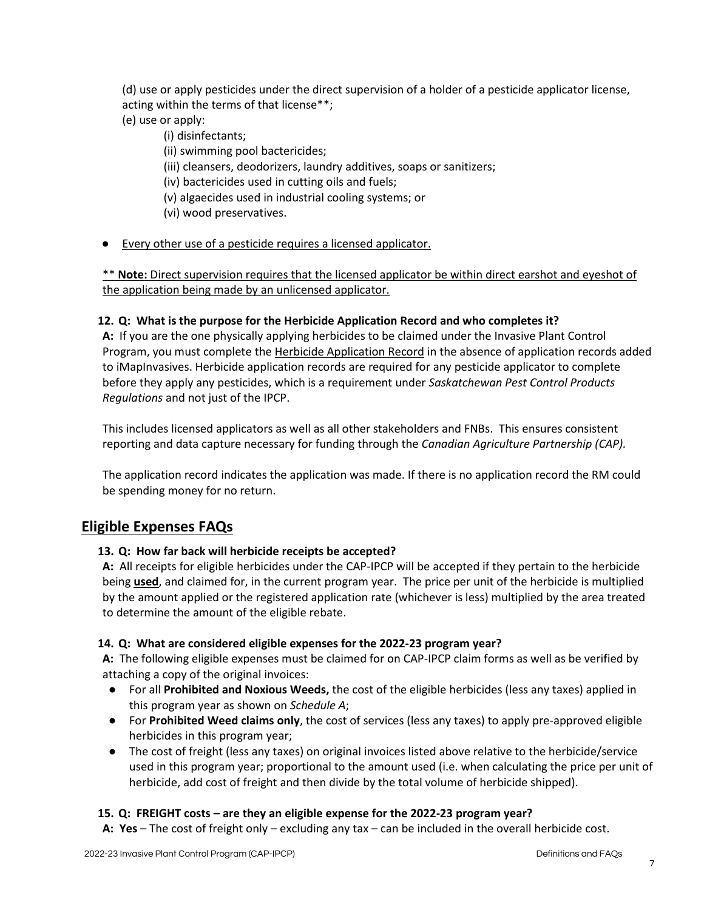(d) use or apply pesticides under the direct supervision of a holder of a pesticide applicator license, acting within the terms of that license\*\*;

- (e) use or apply:
	- (i) disinfectants;
	- (ii) swimming pool bactericides;
	- (iii) cleansers, deodorizers, laundry additives, soaps or sanitizers;
	- (iv) bactericides used in cutting oils and fuels;
	- (v) algaecides used in industrial cooling systems; or
	- (vi) wood preservatives.
- Every other use of a pesticide requires a licensed applicator.

\*\* **Note:** Direct supervision requires that the licensed applicator be within direct earshot and eyeshot of the application being made by an unlicensed applicator.

# **12. Q: What is the purpose for the Herbicide Application Record and who completes it?**

**A:** If you are the one physically applying herbicides to be claimed under the Invasive Plant Control Program, you must complete the [Herbicide Application Record](about:blank) in the absence of application records added to iMapInvasives. Herbicide application records are required for any pesticide applicator to complete before they apply any pesticides, which is a requirement under *Saskatchewan Pest Control Products Regulations* and not just of the IPCP.

This includes licensed applicators as well as all other stakeholders and FNBs. This ensures consistent reporting and data capture necessary for funding through the *Canadian Agriculture Partnership (CAP).*

The application record indicates the application was made. If there is no application record the RM could be spending money for no return.

# **Eligible Expenses FAQs**

# **13. Q: How far back will herbicide receipts be accepted?**

**A:** All receipts for eligible herbicides under the CAP-IPCP will be accepted if they pertain to the herbicide being **used**, and claimed for, in the current program year. The price per unit of the herbicide is multiplied by the amount applied or the registered application rate (whichever is less) multiplied by the area treated to determine the amount of the eligible rebate.

# **14. Q: What are considered eligible expenses for the 2022-23 program year?**

**A:** The following eligible expenses must be claimed for on CAP-IPCP claim forms as well as be verified by attaching a copy of the original invoices:

- For all **Prohibited and Noxious Weeds,** the cost of the eligible herbicides (less any taxes) applied in this program year as shown on *Schedule A*;
- For **Prohibited Weed claims only**, the cost of services (less any taxes) to apply pre-approved eligible herbicides in this program year;
- The cost of freight (less any taxes) on original invoices listed above relative to the herbicide/service used in this program year; proportional to the amount used (i.e. when calculating the price per unit of herbicide, add cost of freight and then divide by the total volume of herbicide shipped).

# **15. Q: FREIGHT costs – are they an eligible expense for the 2022-23 program year?**

**A: Yes** – The cost of freight only – excluding any tax – can be included in the overall herbicide cost.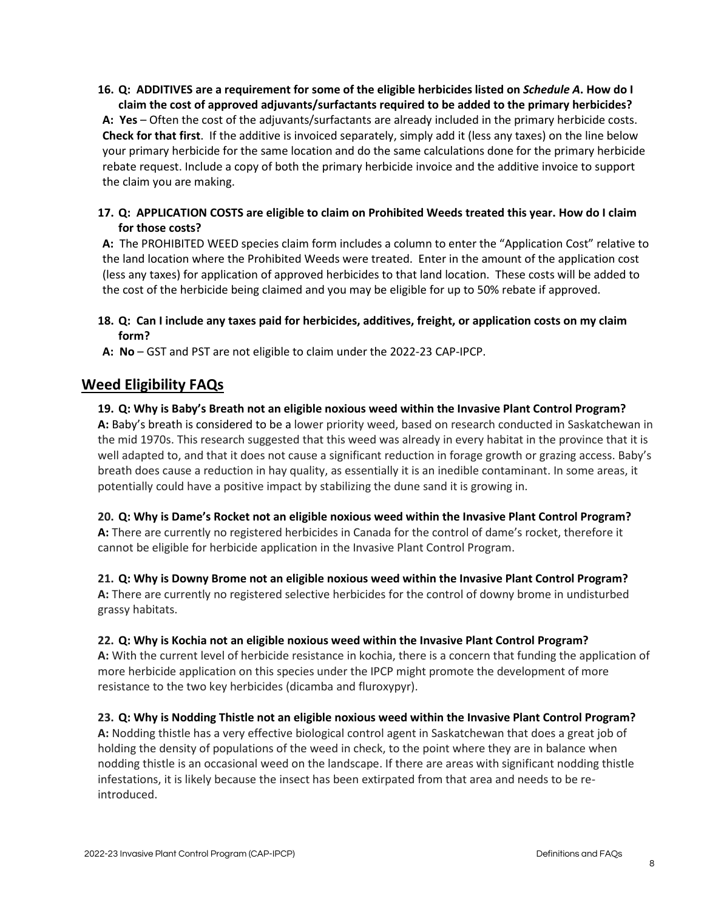# **16. Q: ADDITIVES are a requirement for some of the eligible herbicides listed on** *Schedule A***. How do I claim the cost of approved adjuvants/surfactants required to be added to the primary herbicides?**

**A: Yes** – Often the cost of the adjuvants/surfactants are already included in the primary herbicide costs. **Check for that first**. If the additive is invoiced separately, simply add it (less any taxes) on the line below your primary herbicide for the same location and do the same calculations done for the primary herbicide rebate request. Include a copy of both the primary herbicide invoice and the additive invoice to support the claim you are making.

# **17. Q: APPLICATION COSTS are eligible to claim on Prohibited Weeds treated this year. How do I claim for those costs?**

**A:** The PROHIBITED WEED species claim form includes a column to enter the "Application Cost" relative to the land location where the Prohibited Weeds were treated. Enter in the amount of the application cost (less any taxes) for application of approved herbicides to that land location. These costs will be added to the cost of the herbicide being claimed and you may be eligible for up to 50% rebate if approved.

# **18. Q: Can I include any taxes paid for herbicides, additives, freight, or application costs on my claim form?**

**A: No** – GST and PST are not eligible to claim under the 2022-23 CAP-IPCP.

# **Weed Eligibility FAQs**

# **19. Q: Why is Baby's Breath not an eligible noxious weed within the Invasive Plant Control Program?**

**A:** Baby's breath is considered to be a lower priority weed, based on research conducted in Saskatchewan in the mid 1970s. This research suggested that this weed was already in every habitat in the province that it is well adapted to, and that it does not cause a significant reduction in forage growth or grazing access. Baby's breath does cause a reduction in hay quality, as essentially it is an inedible contaminant. In some areas, it potentially could have a positive impact by stabilizing the dune sand it is growing in.

**20. Q: Why is Dame's Rocket not an eligible noxious weed within the Invasive Plant Control Program? A:** There are currently no registered herbicides in Canada for the control of dame's rocket, therefore it cannot be eligible for herbicide application in the Invasive Plant Control Program.

#### **21. Q: Why is Downy Brome not an eligible noxious weed within the Invasive Plant Control Program?**

**A:** There are currently no registered selective herbicides for the control of downy brome in undisturbed grassy habitats.

# **22. Q: Why is Kochia not an eligible noxious weed within the Invasive Plant Control Program?**

**A:** With the current level of herbicide resistance in kochia, there is a concern that funding the application of more herbicide application on this species under the IPCP might promote the development of more resistance to the two key herbicides (dicamba and fluroxypyr).

# **23. Q: Why is Nodding Thistle not an eligible noxious weed within the Invasive Plant Control Program?**

**A:** Nodding thistle has a very effective biological control agent in Saskatchewan that does a great job of holding the density of populations of the weed in check, to the point where they are in balance when nodding thistle is an occasional weed on the landscape. If there are areas with significant nodding thistle infestations, it is likely because the insect has been extirpated from that area and needs to be reintroduced.